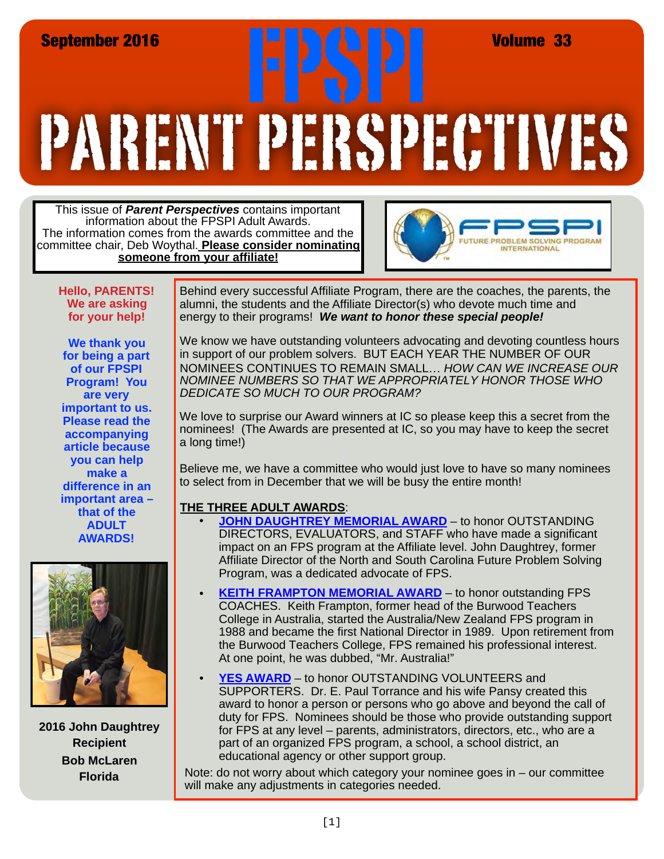## PARENT PERSPECTIVES September 2016<br>**FRANCIS PRODUCTS PRODUCTS AND ARTISTS AT ALL AREA**

This issue of *Parent Perspectives* contains important information about the FPSPI Adult Awards. The information comes from the awards committee and the committee chair, Deb Woythal. **Please consider nominating someone from your affiliate!**



**Hello, PARENTS! We are asking for your help!** 

**We thank you for being a part of our FPSPI Program! You are very important to us. Please read the accompanying article because you can help make a difference in an important area – that of the ADULT AWARDS!** 



**2016 John Daughtrey Recipient Bob McLaren Florida**

Behind every successful Affiliate Program, there are the coaches, the parents, the alumni, the students and the Affiliate Director(s) who devote much time and energy to their programs! *We want to honor these special people!*

We know we have outstanding volunteers advocating and devoting countless hours in support of our problem solvers. BUT EACH YEAR THE NUMBER OF OUR NOMINEES CONTINUES TO REMAIN SMALL… *HOW CAN WE INCREASE OUR NOMINEE NUMBERS SO THAT WE APPROPRIATELY HONOR THOSE WHO DEDICATE SO MUCH TO OUR PROGRAM?* 

We love to surprise our Award winners at IC so please keep this a secret from the nominees! (The Awards are presented at IC, so you may have to keep the secret a long time!)

Believe me, we have a committee who would just love to have so many nominees to select from in December that we will be busy the entire month!

## **THE THREE ADULT AWARDS**:

- **[JOHN DAUGHTREY MEMORIAL AWARD](http://www.fpspi.org/pdf/nominations/JohnDaughtrey 1617.pdf)** to honor OUTSTANDING DIRECTORS, EVALUATORS, and STAFF who have made a significant impact on an FPS program at the Affiliate level. John Daughtrey, former Affiliate Director of the North and South Carolina Future Problem Solving Program, was a dedicated advocate of FPS.
- **KEITH FRAMPTON MEMORIAL AWARD** to honor outstanding FPS [COACHES. Keith Frampton, former head o](http://www.fpspi.org/pdf/nominations/KeithFrampton1617.pdf)f the Burwood Teachers College in Australia, started the Australia/New Zealand FPS program in 1988 and became the first National Director in 1989. Upon retirement from the Burwood Teachers College, FPS remained his professional interest. At one point, he was dubbed, "Mr. Australia!"
- [YES AWARD](http://www.fpspi.org/pdf/nominations/Yes1617.pdf) to honor OUTSTANDING VOLUNTEERS and SUPPORTERS. Dr. E. Paul Torrance and his wife Pansy created this award to honor a person or persons who go above and beyond the call of duty for FPS. Nominees should be those who provide outstanding support for FPS at any level – parents, administrators, directors, etc., who are a part of an organized FPS program, a school, a school district, an educational agency or other support group.

Note: do not worry about which category your nominee goes in – our committee will make any adjustments in categories needed.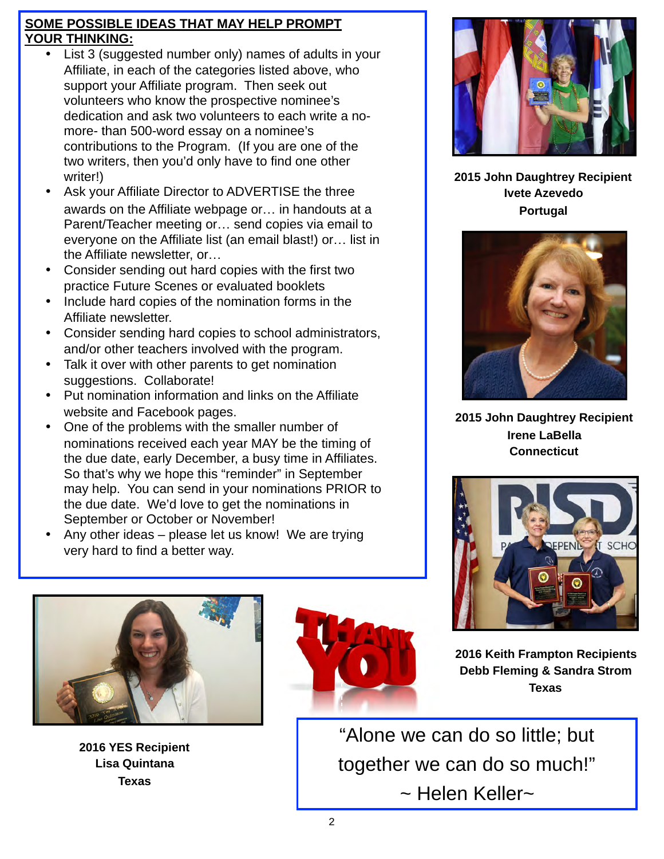## **SOME POSSIBLE IDEAS THAT MAY HELP PROMPT YOUR THINKING:**

- List 3 (suggested number only) names of adults in your Affiliate, in each of the categories listed above, who support your Affiliate program. Then seek out volunteers who know the prospective nominee's dedication and ask two volunteers to each write a nomore- than 500-word essay on a nominee's contributions to the Program. (If you are one of the two writers, then you'd only have to find one other writer!)
- Ask your Affiliate Director to ADVERTISE the three awards on the Affiliate webpage or… in handouts at a Parent/Teacher meeting or… send copies via email to everyone on the Affiliate list (an email blast!) or… list in the Affiliate newsletter, or…
- Consider sending out hard copies with the first two practice Future Scenes or evaluated booklets
- Include hard copies of the nomination forms in the Affiliate newsletter.
- Consider sending hard copies to school administrators, and/or other teachers involved with the program.
- Talk it over with other parents to get nomination suggestions. Collaborate!
- Put nomination information and links on the Affiliate website and Facebook pages.
- One of the problems with the smaller number of nominations received each year MAY be the timing of the due date, early December, a busy time in Affiliates. So that's why we hope this "reminder" in September may help. You can send in your nominations PRIOR to the due date. We'd love to get the nominations in September or October or November!
- Any other ideas please let us know! We are trying very hard to find a better way.



**2015 John Daughtrey Recipient Ivete Azevedo Portugal**



**2015 John Daughtrey Recipient Irene LaBella Connecticut**





**2016 YES Recipient Lisa Quintana Texas**



**2016 Keith Frampton Recipients Debb Fleming & Sandra Strom Texas**

"Alone we can do so little; but together we can do so much!" ~ Helen Keller~